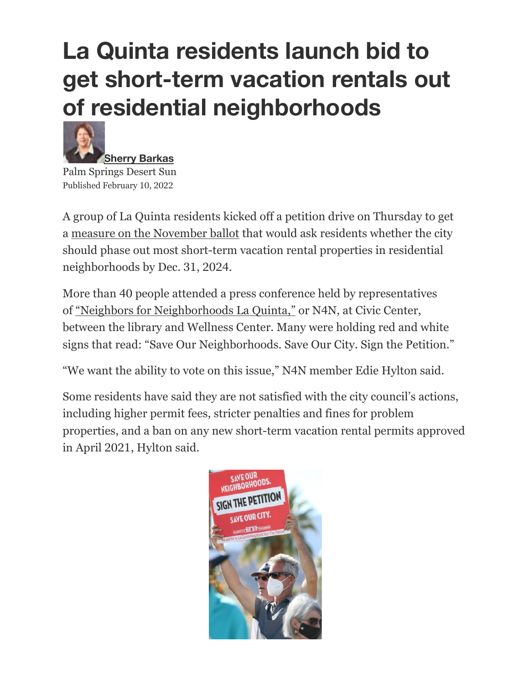## **La Quinta residents launch bid to get short-term vacation rentals out of residential neighborhoods**



Palm Springs Desert Sun Published February 10, 2022

A group of La Quinta residents kicked off a petition drive on Thursday to get a measure on the November ballot that would ask residents whether the city should phase out most short-term vacation rental properties in residential neighborhoods by Dec. 31, 2024.

More than 40 people attended a press conference held by representatives of "Neighbors for Neighborhoods La Quinta," or N4N, at Civic Center, between the library and Wellness Center. Many were holding red and white signs that read: "Save Our Neighborhoods. Save Our City. Sign the Petition."

"We want the ability to vote on this issue," N4N member Edie Hylton said.

Some residents have said they are not satisfied with the city council's actions, including higher permit fees, stricter penalties and fines for problem properties, and a ban on any new short-term vacation rental permits approved in April 2021, Hylton said.

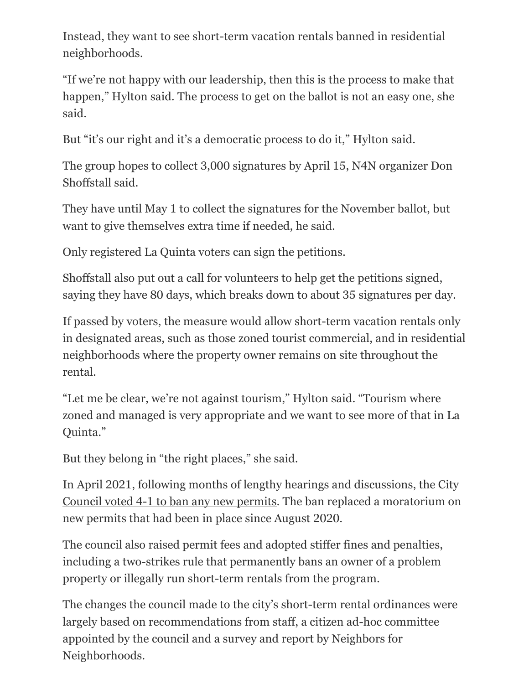Instead, they want to see short-term vacation rentals banned in residential neighborhoods.

"If we're not happy with our leadership, then this is the process to make that happen," Hylton said. The process to get on the ballot is not an easy one, she said.

But "it's our right and it's a democratic process to do it," Hylton said.

The group hopes to collect 3,000 signatures by April 15, N4N organizer Don Shoffstall said.

They have until May 1 to collect the signatures for the November ballot, but want to give themselves extra time if needed, he said.

Only registered La Quinta voters can sign the petitions.

Shoffstall also put out a call for volunteers to help get the petitions signed, saying they have 80 days, which breaks down to about 35 signatures per day.

If passed by voters, the measure would allow short-term vacation rentals only in designated areas, such as those zoned tourist commercial, and in residential neighborhoods where the property owner remains on site throughout the rental.

"Let me be clear, we're not against tourism," Hylton said. "Tourism where zoned and managed is very appropriate and we want to see more of that in La Quinta."

But they belong in "the right places," she said.

In April 2021, following months of lengthy hearings and discussions, the City Council voted 4-1 to ban any new permits. The ban replaced a moratorium on new permits that had been in place since August 2020.

The council also raised permit fees and adopted stiffer fines and penalties, including a two-strikes rule that permanently bans an owner of a problem property or illegally run short-term rentals from the program.

The changes the council made to the city's short-term rental ordinances were largely based on recommendations from staff, a citizen ad-hoc committee appointed by the council and a survey and report by Neighbors for Neighborhoods.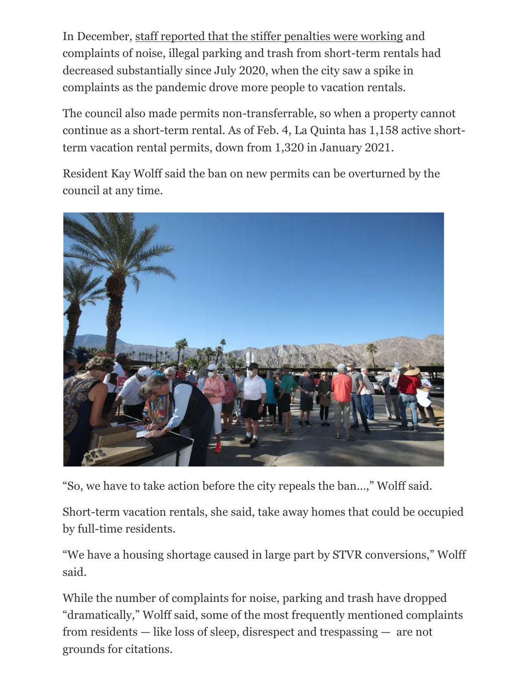In December, staff reported that the stiffer penalties were working and complaints of noise, illegal parking and trash from short-term rentals had decreased substantially since July 2020, when the city saw a spike in complaints as the pandemic drove more people to vacation rentals.

The council also made permits non-transferrable, so when a property cannot continue as a short-term rental. As of Feb. 4, La Quinta has 1,158 active shortterm vacation rental permits, down from 1,320 in January 2021.

Resident Kay Wolff said the ban on new permits can be overturned by the council at any time.



"So, we have to take action before the city repeals the ban…," Wolff said.

Short-term vacation rentals, she said, take away homes that could be occupied by full-time residents.

"We have a housing shortage caused in large part by STVR conversions," Wolff said.

While the number of complaints for noise, parking and trash have dropped "dramatically," Wolff said, some of the most frequently mentioned complaints from residents — like loss of sleep, disrespect and trespassing — are not grounds for citations.